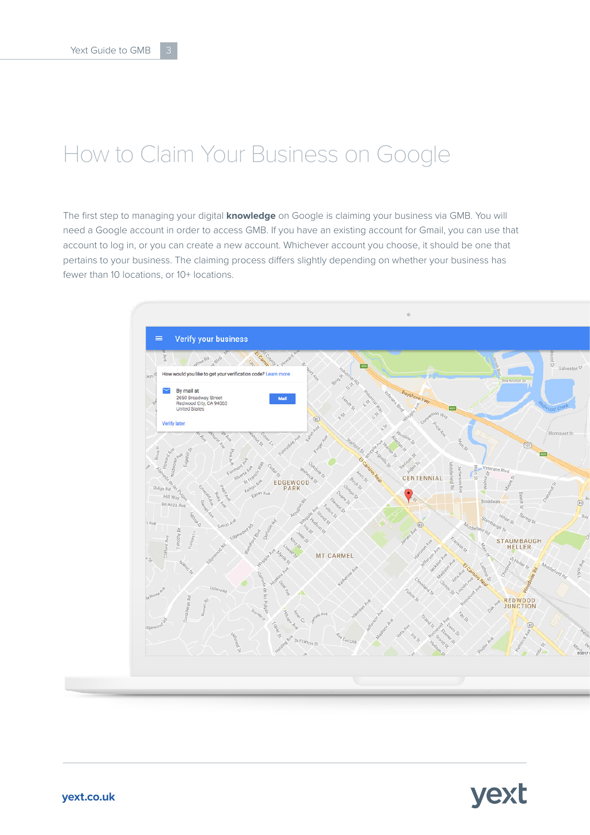# How to Claim Your Business on Google

The first step to managing your digital **knowledge** on Google is claiming your business via GMB. You will need a Google account in order to access GMB. If you have an existing account for Gmail, you can use that account to log in, or you can create a new account. Whichever account you choose, it should be one that pertains to your business. The claiming process differs slightly depending on whether your business has fewer than 10 locations, or 10+ locations.

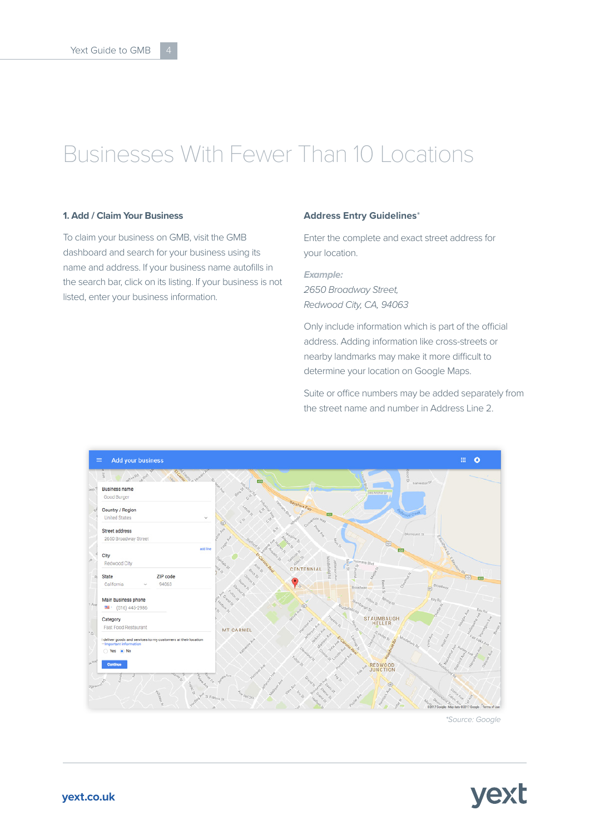# Businesses With Fewer Than 10 Locations

#### **1. Add / Claim Your Business**

To claim your business on GMB, visit the GMB dashboard and search for your business using its name and address. If your business name autofills in the search bar, click on its listing. If your business is not listed, enter your business information.

#### **Address Entry Guidelines**\*

Enter the complete and exact street address for your location.

*Example: 2650 Broadway Street, Redwood City, CA, 94063*

Only include information which is part of the official address. Adding information like cross-streets or nearby landmarks may make it more difficult to determine your location on Google Maps.

Suite or office numbers may be added separately from the street name and number in Address Line 2.



*\*Source: Google*

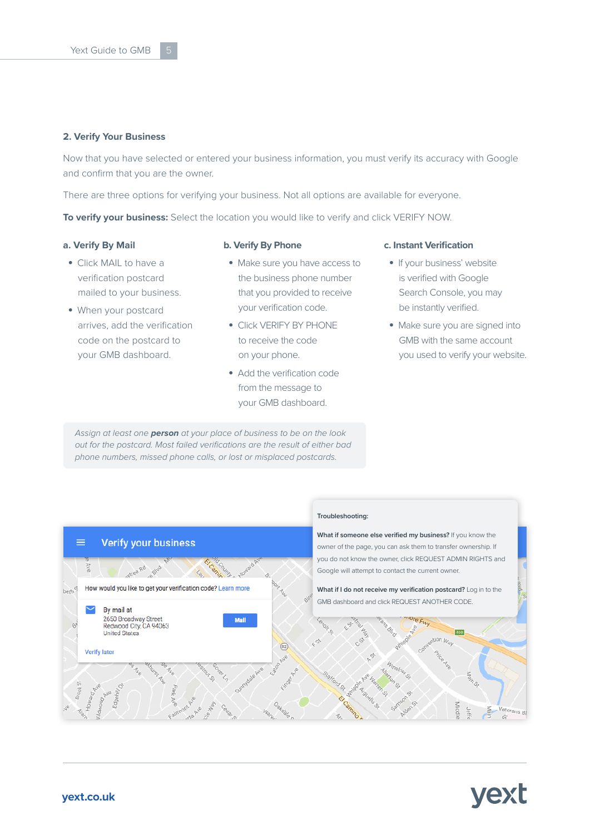#### **2. Verify Your Business**

Now that you have selected or entered your business information, you must verify its accuracy with Google and confirm that you are the owner.

There are three options for verifying your business. Not all options are available for everyone.

**To verify your business:** Select the location you would like to verify and click VERIFY NOW.

#### **a. Verify By Mail**

#### **b. Verify By Phone**

- Click MAIL to have a verification postcard mailed to your business.
- When your postcard arrives, add the verification code on the postcard to your GMB dashboard.
- Make sure you have access to the business phone number that you provided to receive your verification code.
- Click VERIFY BY PHONE to receive the code on your phone.
- Add the verification code from the message to your GMB dashboard.

*Assign at least one person at your place of business to be on the look out for the postcard. Most failed verifications are the result of either bad phone numbers, missed phone calls, or lost or misplaced postcards.*

#### **c. Instant Verification**

- If your business' website is verified with Google Search Console, you may be instantly verified.
- Make sure you are signed into GMB with the same account you used to verify your website.



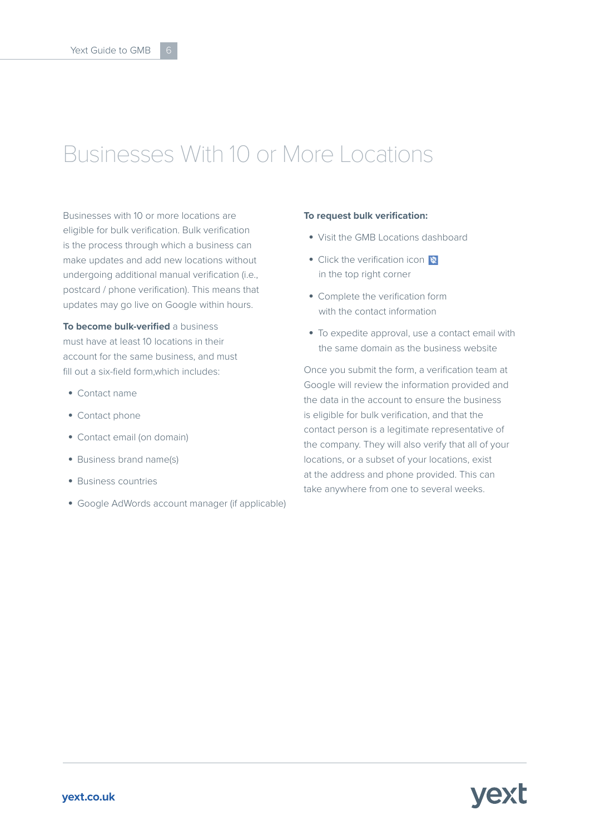### Businesses With 10 or More Locations

Businesses with 10 or more locations are eligible for bulk verification. Bulk verification is the process through which a business can make updates and add new locations without undergoing additional manual verification (i.e., postcard / phone verification). This means that updates may go live on Google within hours.

**To become bulk-verified** a business must have at least 10 locations in their account for the same business, and must fill out a six-field form,which includes:

- Contact name
- Contact phone
- Contact email (on domain)
- Business brand name(s)
- Business countries
- Google AdWords account manager (if applicable)

#### **To request bulk verification:**

- Visit the GMB Locations dashboard
- Click the verification icon in the top right corner
- Complete the verification form with the contact information
- To expedite approval, use a contact email with the same domain as the business website

Once you submit the form, a verification team at Google will review the information provided and the data in the account to ensure the business is eligible for bulk verification, and that the contact person is a legitimate representative of the company. They will also verify that all of your locations, or a subset of your locations, exist at the address and phone provided. This can take anywhere from one to several weeks.